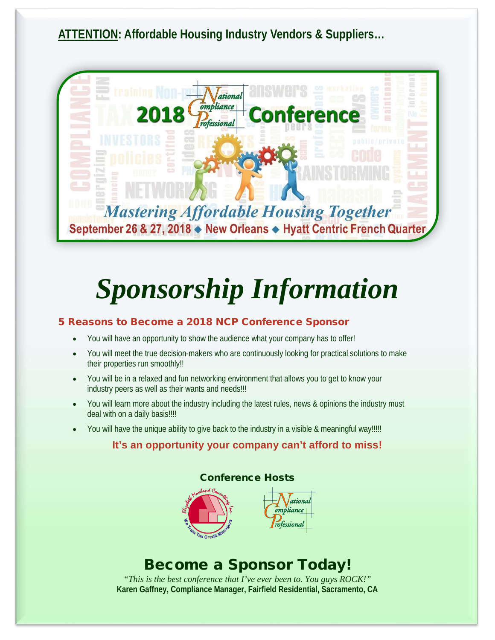**ATTENTION: Affordable Housing Industry Vendors & Suppliers…**



# *Sponsorship Information*

#### 5 Reasons to Become a 2018 NCP Conference Sponsor

- You will have an opportunity to show the audience what your company has to offer!
- You will meet the true decision-makers who are continuously looking for practical solutions to make their properties run smoothly!!
- You will be in a relaxed and fun networking environment that allows you to get to know your industry peers as well as their wants and needs!!!
- You will learn more about the industry including the latest rules, news & opinions the industry must deal with on a daily basis!!!!
- You will have the unique ability to give back to the industry in a visible & meaningful way!!!!!

### **It's an opportunity your company can't afford to miss!**



### Become a Sponsor Today!

*"This is the best conference that I've ever been to. You guys ROCK!"* **Karen Gaffney, Compliance Manager, Fairfield Residential, Sacramento, CA**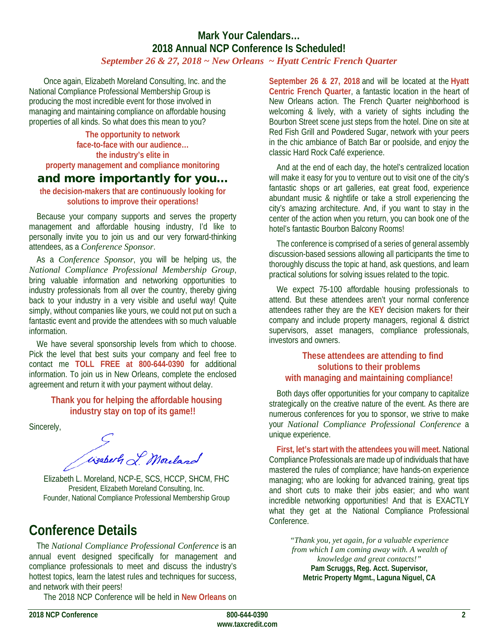#### **Mark Your Calendars… 2018 Annual NCP Conference Is Scheduled!**  *September 26 & 27, 2018 ~ New Orleans ~ Hyatt Centric French Quarter*

Once again, Elizabeth Moreland Consulting, Inc. and the National Compliance Professional Membership Group is producing the most incredible event for those involved in managing and maintaining compliance on affordable housing properties of all kinds. So what does this mean to you?

**The opportunity to network face-to-face with our audience… the industry's elite in property management and compliance monitoring** 

### and more importantly for you…

**the decision-makers that are continuously looking for solutions to improve their operations!**

Because your company supports and serves the property management and affordable housing industry, I'd like to personally invite you to join us and our very forward-thinking attendees, as a *Conference Sponsor*.

As a *Conference Sponsor*, you will be helping us, the *National Compliance Professional Membership Group*, bring valuable information and networking opportunities to industry professionals from all over the country, thereby giving back to your industry in a very visible and useful way! Quite simply, without companies like yours, we could not put on such a fantastic event and provide the attendees with so much valuable information.

We have several sponsorship levels from which to choose. Pick the level that best suits your company and feel free to contact me **TOLL FREE at 800-644-0390** for additional information. To join us in New Orleans, complete the enclosed agreement and return it with your payment without delay.

> **Thank you for helping the affordable housing industry stay on top of its game!!**

Sincerely,

Essert L Mouland

Elizabeth L. Moreland, NCP-E, SCS, HCCP, SHCM, FHC President, Elizabeth Moreland Consulting, Inc. Founder, National Compliance Professional Membership Group

### **Conference Details**

The *National Compliance Professional Conference* is an annual event designed specifically for management and compliance professionals to meet and discuss the industry's hottest topics, learn the latest rules and techniques for success, and network with their peers!

The 2018 NCP Conference will be held in **New Orleans** on

**September 26 & 27, 2018** and will be located at the **Hyatt Centric French Quarter**, a fantastic location in the heart of New Orleans action. The French Quarter neighborhood is welcoming & lively, with a variety of sights including the Bourbon Street scene just steps from the hotel. Dine on site at Red Fish Grill and Powdered Sugar, network with your peers in the chic ambiance of Batch Bar or poolside, and enjoy the classic Hard Rock Café experience.

And at the end of each day, the hotel's centralized location will make it easy for you to venture out to visit one of the city's fantastic shops or art galleries, eat great food, experience abundant music & nightlife or take a stroll experiencing the city's amazing architecture. And, if you want to stay in the center of the action when you return, you can book one of the hotel's fantastic Bourbon Balcony Rooms!

The conference is comprised of a series of general assembly discussion-based sessions allowing all participants the time to thoroughly discuss the topic at hand, ask questions, and learn practical solutions for solving issues related to the topic.

We expect 75-100 affordable housing professionals to attend. But these attendees aren't your normal conference attendees rather they are the **KEY** decision makers for their company and include property managers, regional & district supervisors, asset managers, compliance professionals, investors and owners.

#### **These attendees are attending to find solutions to their problems with managing and maintaining compliance!**

Both days offer opportunities for your company to capitalize strategically on the creative nature of the event. As there are numerous conferences for you to sponsor, we strive to make your *National Compliance Professional Conference* a unique experience.

**First, let's start with the attendees you will meet.** National Compliance Professionals are made up of individuals that have mastered the rules of compliance; have hands-on experience managing; who are looking for advanced training, great tips and short cuts to make their jobs easier; and who want incredible networking opportunities! And that is EXACTLY what they get at the National Compliance Professional Conference.

> *"Thank you, yet again, for a valuable experience from which I am coming away with. A wealth of knowledge and great contacts!"* **Pam Scruggs, Reg. Acct. Supervisor, Metric Property Mgmt., Laguna Niguel, CA**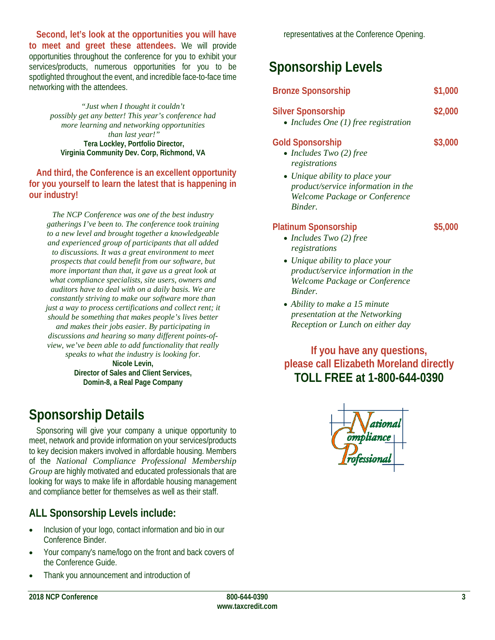**Second, let's look at the opportunities you will have to meet and greet these attendees.** We will provide opportunities throughout the conference for you to exhibit your services/products, numerous opportunities for you to be spotlighted throughout the event, and incredible face-to-face time networking with the attendees.

*"Just when I thought it couldn't possibly get any better! This year's conference had more learning and networking opportunities than last year!"* **Tera Lockley, Portfolio Director, Virginia Community Dev. Corp, Richmond, VA**

#### **And third, the Conference is an excellent opportunity for you yourself to learn the latest that is happening in our industry!**

*The NCP Conference was one of the best industry gatherings I've been to. The conference took training to a new level and brought together a knowledgeable and experienced group of participants that all added to discussions. It was a great environment to meet prospects that could benefit from our software, but more important than that, it gave us a great look at what compliance specialists, site users, owners and auditors have to deal with on a daily basis. We are constantly striving to make our software more than just a way to process certifications and collect rent; it should be something that makes people's lives better and makes their jobs easier. By participating in discussions and hearing so many different points-ofview, we've been able to add functionality that really speaks to what the industry is looking for.* **Nicole Levin,** 

**Director of Sales and Client Services, Domin-8, a Real Page Company**

## **Sponsorship Details**

Sponsoring will give your company a unique opportunity to meet, network and provide information on your services/products to key decision makers involved in affordable housing. Members of the *National Compliance Professional Membership Group* are highly motivated and educated professionals that are looking for ways to make life in affordable housing management and compliance better for themselves as well as their staff.

### **ALL Sponsorship Levels include:**

- Inclusion of your logo, contact information and bio in our Conference Binder.
- Your company's name/logo on the front and back covers of the Conference Guide.
- Thank you announcement and introduction of

## **Sponsorship Levels**

### **Bronze Sponsorship \$1,000 Silver Sponsorship \$2,000**

• *Includes One (1) free registration*

### **Gold Sponsorship \$3,000**

- *Includes Two (2) free registrations*
- *Unique ability to place your product/service information in the Welcome Package or Conference Binder.*

#### **Platinum Sponsorship \$5,000**

- *Includes Two (2) free registrations*
- *Unique ability to place your product/service information in the Welcome Package or Conference Binder.*
- *Ability to make a 15 minute presentation at the Networking Reception or Lunch on either day*

### **If you have any questions, please call Elizabeth Moreland directly TOLL FREE at 1-800-644-0390**